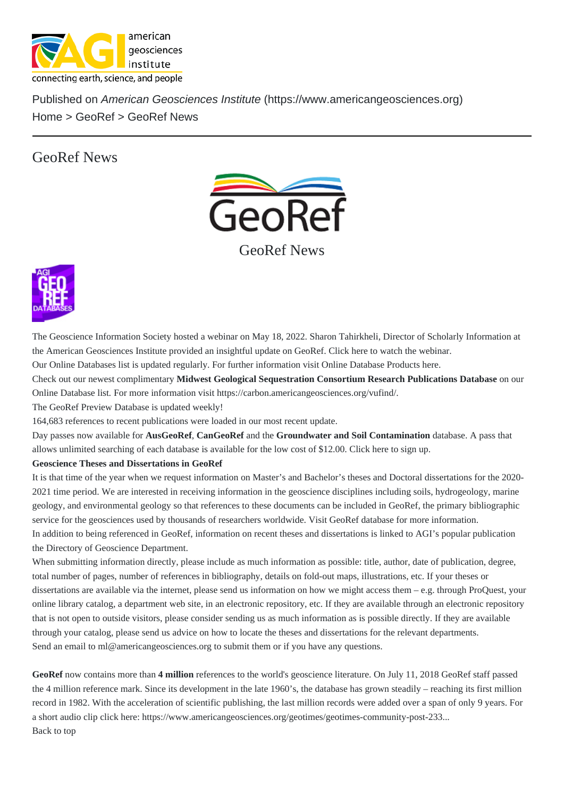## [GeoR](https://www.americangeosciences.org/)[ef New](https://www.americangeosciences.org/information/georef)s

## GeoRef News

The Geoscience Information Society hosted a webinar on May 18, 2022. Sharon Tahirkheli, Director of Scholarly Information at the American Geosciences Institute provided an insightful update on GediReftereto watch the webinar.

Our Online Databases list is updated regularly. For further information visit Online Database Products

Check out our newest complimenta Midwest Geological Sequestration Consortium Research Publications Database our

Online Database lisFor more information visit trus://carbon.americange[osciences](https://psu.mediaspace.kaltura.com/media/GSIS+webinar+-+GeoRef/1_kdjbli3a).org/vufind/

The GeoRef Preview Databaiseupdated weekly!

164,683 references to recent publications were loaded in our most recent update.

Day passes now available fousGeoRef Can[GeoRef and the Groundwater and Soil Contam](https://carbon.americangeosciences.org/vufind/)ination database. A pass that allo[ws unlimited searching o](https://www.americangeosciences.org/georef/onlinedb/preview.html)f each database is available for the low cost of \$12.00. Click sign up.

Geoscience Theses and Dissertations in GeoRef

It is that time of the year when we request information on Master's and Bachelor's theses and Doctoral dissertations for the 2020- 2021 time period. We are interested in receiving information in the geoscience di[scipli](https://store.americangeosciences.org/databases.html)nes including soils, hydrogeology, marine geology, and environmental geology so that references to these documents can be included in GeoRef, the primary bibliographic service for the geosciences used by thousands of researchers worldwidee whether databaser more information.

In addition to being referenced in GeoRef, information on recent theses and dissertations is linked to AGI's popular publication the Directory of Geoscience Department .

When submitting information directly, please include as much informati[on as possible: t](http://www.americangeosciences.org/georef/about-georef-database)itle, author, date of publication, degree, total number of pages, number of references in bibliography, details on fold-out maps, illustrations, etc. If your theses or dis[sertations are available via the inte](https://www.americangeosciences.org/workforce/directory-of-geoscience-departments)rnet, please send us information on how we might access them – e.g. through ProQuest, you online library catalog, a department web site, in an electronic repository, etc. If they are available through an electronic repository that is not open to outside visitors, please consider sending us as much information as is possible directly. If they are available through your catalog, please send us advice on how to locate the theses and dissertations for the relevant departments. Send an email tool@americangeosciences.org submit them or if you have any questions.

GeoRefnow contains more than million references to the world's geoscience literature. On July 11, 2018 GeoRef staff passed the 4 million ref[erence mark. Since its deve](mailto:ml@americangeosciences.org?subject=Theses and Dissertations for GeoRef)lopment in the late 1960's, the database has grown steadily – reaching its first million record in 1982. With the acceleration of scientific publishing, the last million records were added over a span of only 9 years. For a short audio clip click herettps://www.americangeosciences.org/geotimes/geotimes-community-post-233... Back to top